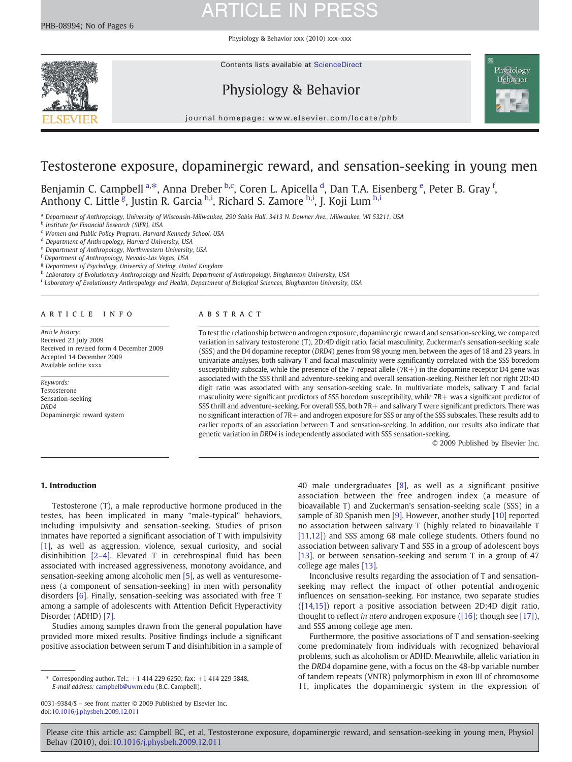Physiology & Behavior xxx (2010) xxx–xxx



### Physiology & Behavior



journal homepage: www.elsevier.com/locate/phb

### Testosterone exposure, dopaminergic reward, and sensation-seeking in young men

Benjamin C. Campbell <sup>a,\*</sup>, Anna Dreber <sup>b,c</sup>, Coren L. Apicella <sup>d</sup>, Dan T.A. Eisenberg <sup>e</sup>, Peter B. Gray <sup>f</sup>, Anthony C. Little <sup>g</sup>, Justin R. Garcia <sup>h,i</sup>, Richard S. Zamore <sup>h,i</sup>, J. Koji Lum <sup>h,i</sup>

a Department of Anthropology, University of Wisconsin-Milwaukee, 290 Sabin Hall, 3413 N. Downer Ave., Milwaukee, WI 53211, USA

**b** Institute for Financial Research (SIFR), USA

<sup>c</sup> Women and Public Policy Program, Harvard Kennedy School, USA

<sup>d</sup> Department of Anthropology, Harvard University, USA

<sup>e</sup> Department of Anthropology, Northwestern University, USA

<sup>f</sup> Department of Anthropology, Nevada-Las Vegas, USA

<sup>g</sup> Department of Psychology, University of Stirling, United Kingdom

h Laboratory of Evolutionary Anthropology and Health, Department of Anthropology, Binghamton University, USA

<sup>i</sup> Laboratory of Evolutionary Anthropology and Health, Department of Biological Sciences, Binghamton University, USA

#### article info abstract

Article history: Received 23 July 2009 Received in revised form 4 December 2009 Accepted 14 December 2009 Available online xxxx

Keywords: Testosterone Sensation-seeking DRD<sub>4</sub> Dopaminergic reward system

To test the relationship between androgen exposure, dopaminergic reward and sensation-seeking, we compared variation in salivary testosterone (T), 2D:4D digit ratio, facial masculinity, Zuckerman's sensation-seeking scale (SSS) and the D4 dopamine receptor (DRD4) genes from 98 young men, between the ages of 18 and 23 years. In univariate analyses, both salivary T and facial masculinity were significantly correlated with the SSS boredom susceptibility subscale, while the presence of the 7-repeat allele  $(7R+)$  in the dopamine receptor D4 gene was associated with the SSS thrill and adventure-seeking and overall sensation-seeking. Neither left nor right 2D:4D digit ratio was associated with any sensation-seeking scale. In multivariate models, salivary T and facial masculinity were significant predictors of SSS boredom susceptibility, while 7R+ was a significant predictor of SSS thrill and adventure-seeking. For overall SSS, both 7R+ and salivary T were significant predictors. There was no significant interaction of 7R+ and androgen exposure for SSS or any of the SSS subscales. These results add to earlier reports of an association between T and sensation-seeking. In addition, our results also indicate that genetic variation in DRD4 is independently associated with SSS sensation-seeking.

© 2009 Published by Elsevier Inc.

#### 1. Introduction

Testosterone (T), a male reproductive hormone produced in the testes, has been implicated in many "male-typical" behaviors, including impulsivity and sensation-seeking. Studies of prison inmates have reported a significant association of T with impulsivity [\[1\],](#page-4-0) as well as aggression, violence, sexual curiosity, and social disinhibition [2–[4\].](#page-4-0) Elevated T in cerebrospinal fluid has been associated with increased aggressiveness, monotony avoidance, and sensation-seeking among alcoholic men [\[5\],](#page-4-0) as well as venturesomeness (a component of sensation-seeking) in men with personality disorders [\[6\].](#page-4-0) Finally, sensation-seeking was associated with free T among a sample of adolescents with Attention Deficit Hyperactivity Disorder (ADHD) [\[7\]](#page-4-0).

Studies among samples drawn from the general population have provided more mixed results. Positive findings include a significant positive association between serum T and disinhibition in a sample of

0031-9384/\$ – see front matter © 2009 Published by Elsevier Inc. doi:[10.1016/j.physbeh.2009.12.011](http://dx.doi.org/10.1016/j.physbeh.2009.12.011)

40 male undergraduates [\[8\],](#page-4-0) as well as a significant positive association between the free androgen index (a measure of bioavailable T) and Zuckerman's sensation-seeking scale (SSS) in a sample of 30 Spanish men [\[9\].](#page-4-0) However, another study [\[10\]](#page-4-0) reported no association between salivary T (highly related to bioavailable T [\[11,12\]](#page-4-0)) and SSS among 68 male college students. Others found no association between salivary T and SSS in a group of adolescent boys [\[13\]](#page-4-0), or between sensation-seeking and serum T in a group of 47 college age males [\[13\].](#page-4-0)

Inconclusive results regarding the association of T and sensationseeking may reflect the impact of other potential androgenic influences on sensation-seeking. For instance, two separate studies [\(\[14,15\]\)](#page-4-0) report a positive association between 2D:4D digit ratio, thought to reflect in utero androgen exposure [\(\[16\]](#page-4-0); though see [\[17\]](#page-4-0)), and SSS among college age men.

Furthermore, the positive associations of T and sensation-seeking come predominately from individuals with recognized behavioral problems, such as alcoholism or ADHD. Meanwhile, allelic variation in the DRD4 dopamine gene, with a focus on the 48-bp variable number of tandem repeats (VNTR) polymorphism in exon III of chromosome 11, implicates the dopaminergic system in the expression of

<sup>⁎</sup> Corresponding author. Tel.: +1 414 229 6250; fax: +1 414 229 5848. E-mail address: [campbelb@uwm.edu](mailto:campbelb@uwm.edu) (B.C. Campbell).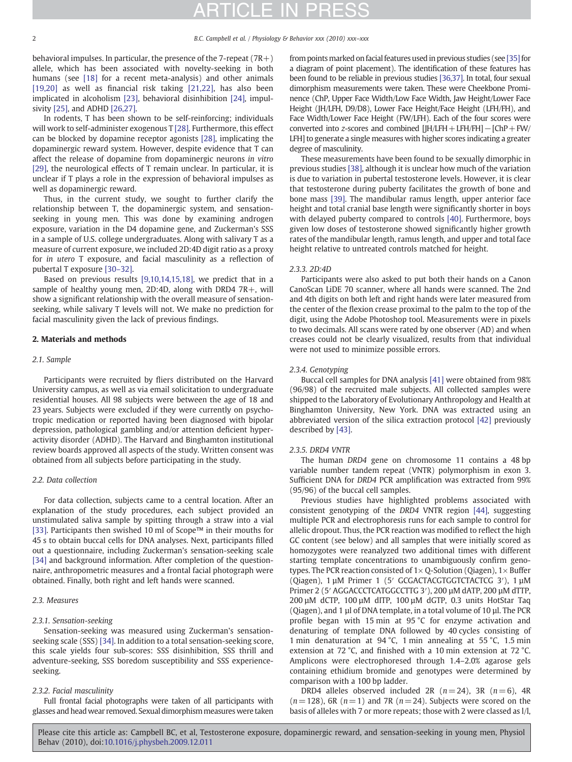behavioral impulses. In particular, the presence of the 7-repeat  $(7R+)$ allele, which has been associated with novelty-seeking in both humans (see [\[18\]](#page-4-0) for a recent meta-analysis) and other animals [\[19,20\]](#page-5-0) as well as financial risk taking [\[21,22\]](#page-5-0), has also been implicated in alcoholism [\[23\],](#page-5-0) behavioral disinhibition [\[24\],](#page-5-0) impulsivity [\[25\]](#page-5-0), and ADHD [\[26,27\]](#page-5-0).

In rodents, T has been shown to be self-reinforcing; individuals will work to self-administer exogenous T [\[28\].](#page-5-0) Furthermore, this effect can be blocked by dopamine receptor agonists [\[28\]](#page-5-0), implicating the dopaminergic reward system. However, despite evidence that T can affect the release of dopamine from dopaminergic neurons in vitro [\[29\]](#page-5-0), the neurological effects of T remain unclear. In particular, it is unclear if T plays a role in the expression of behavioral impulses as well as dopaminergic reward.

Thus, in the current study, we sought to further clarify the relationship between T, the dopaminergic system, and sensationseeking in young men. This was done by examining androgen exposure, variation in the D4 dopamine gene, and Zuckerman's SSS in a sample of U.S. college undergraduates. Along with salivary T as a measure of current exposure, we included 2D:4D digit ratio as a proxy for in utero T exposure, and facial masculinity as a reflection of pubertal T exposure [30–[32\].](#page-5-0)

Based on previous results [\[9,10,14,15,18\]](#page-4-0), we predict that in a sample of healthy young men, 2D:4D, along with DRD4 7R+, will show a significant relationship with the overall measure of sensationseeking, while salivary T levels will not. We make no prediction for facial masculinity given the lack of previous findings.

### 2. Materials and methods

#### 2.1. Sample

Participants were recruited by fliers distributed on the Harvard University campus, as well as via email solicitation to undergraduate residential houses. All 98 subjects were between the age of 18 and 23 years. Subjects were excluded if they were currently on psychotropic medication or reported having been diagnosed with bipolar depression, pathological gambling and/or attention deficient hyperactivity disorder (ADHD). The Harvard and Binghamton institutional review boards approved all aspects of the study. Written consent was obtained from all subjects before participating in the study.

#### 2.2. Data collection

For data collection, subjects came to a central location. After an explanation of the study procedures, each subject provided an unstimulated saliva sample by spitting through a straw into a vial [\[33\]](#page-5-0). Participants then swished 10 ml of Scope™ in their mouths for 45 s to obtain buccal cells for DNA analyses. Next, participants filled out a questionnaire, including Zuckerman's sensation-seeking scale [\[34\]](#page-5-0) and background information. After completion of the questionnaire, anthropometric measures and a frontal facial photograph were obtained. Finally, both right and left hands were scanned.

#### 2.3. Measures

#### 2.3.1. Sensation-seeking

Sensation-seeking was measured using Zuckerman's sensationseeking scale (SSS) [\[34\].](#page-5-0) In addition to a total sensation-seeking score, this scale yields four sub-scores: SSS disinhibition, SSS thrill and adventure-seeking, SSS boredom susceptibility and SSS experienceseeking.

### 2.3.2. Facial masculinity

Full frontal facial photographs were taken of all participants with glasses and head wear removed. Sexual dimorphism measures were taken from points marked on facial features used in previous studies (see [\[35\]](#page-5-0) for a diagram of point placement). The identification of these features has been found to be reliable in previous studies [\[36,37\]](#page-5-0). In total, four sexual dimorphism measurements were taken. These were Cheekbone Prominence (ChP, Upper Face Width/Low Face Width, Jaw Height/Lower Face Height (JH/LFH, D9/D8), Lower Face Height/Face Height (LFH/FH), and Face Width/Lower Face Height (FW/LFH). Each of the four scores were converted into z-scores and combined [JH/LFH+LFH/FH]−[ChP+FW/ LFH] to generate a single measures with higher scores indicating a greater degree of masculinity.

These measurements have been found to be sexually dimorphic in previous studies [\[38\]](#page-5-0), although it is unclear how much of the variation is due to variation in pubertal testosterone levels. However, it is clear that testosterone during puberty facilitates the growth of bone and bone mass [\[39\]](#page-5-0). The mandibular ramus length, upper anterior face height and total cranial base length were significantly shorter in boys with delayed puberty compared to controls [\[40\]](#page-5-0). Furthermore, boys given low doses of testosterone showed significantly higher growth rates of the mandibular length, ramus length, and upper and total face height relative to untreated controls matched for height.

#### 2.3.3. 2D:4D

Participants were also asked to put both their hands on a Canon CanoScan LiDE 70 scanner, where all hands were scanned. The 2nd and 4th digits on both left and right hands were later measured from the center of the flexion crease proximal to the palm to the top of the digit, using the Adobe Photoshop tool. Measurements were in pixels to two decimals. All scans were rated by one observer (AD) and when creases could not be clearly visualized, results from that individual were not used to minimize possible errors.

#### 2.3.4. Genotyping

Buccal cell samples for DNA analysis [\[41\]](#page-5-0) were obtained from 98% (96/98) of the recruited male subjects. All collected samples were shipped to the Laboratory of Evolutionary Anthropology and Health at Binghamton University, New York. DNA was extracted using an abbreviated version of the silica extraction protocol [\[42\]](#page-5-0) previously described by [\[43\]](#page-5-0).

#### 2.3.5. DRD4 VNTR

The human DRD4 gene on chromosome 11 contains a 48 bp variable number tandem repeat (VNTR) polymorphism in exon 3. Sufficient DNA for DRD4 PCR amplification was extracted from 99% (95/96) of the buccal cell samples.

Previous studies have highlighted problems associated with consistent genotyping of the DRD4 VNTR region [\[44\],](#page-5-0) suggesting multiple PCR and electrophoresis runs for each sample to control for allelic dropout. Thus, the PCR reaction was modified to reflect the high GC content (see below) and all samples that were initially scored as homozygotes were reanalyzed two additional times with different starting template concentrations to unambiguously confirm genotypes. The PCR reaction consisted of  $1\times Q$ -Solution (Qiagen),  $1\times$  Buffer (Qiagen), 1 µM Primer 1 (5′ GCGACTACGTGGTCTACTCG 3′), 1 µM Primer 2 (5' AGGACCCTCATGGCCTTG 3'), 200 µM dATP, 200 µM dTTP, 200 µM dCTP, 100 µM dITP, 100 µM dGTP, 0.3 units HotStar Taq (Qiagen), and 1 µl of DNA template, in a total volume of 10 µl. The PCR profile began with 15 min at 95 °C for enzyme activation and denaturing of template DNA followed by 40 cycles consisting of 1 min denaturation at 94 °C, 1 min annealing at 55 °C, 1.5 min extension at 72 °C, and finished with a 10 min extension at 72 °C. Amplicons were electrophoresed through 1.4–2.0% agarose gels containing ethidium bromide and genotypes were determined by comparison with a 100 bp ladder.

DRD4 alleles observed included 2R  $(n=24)$ , 3R  $(n=6)$ , 4R  $(n= 128)$ , 6R  $(n= 1)$  and 7R  $(n= 24)$ . Subjects were scored on the basis of alleles with 7 or more repeats; those with 2 were classed as l/l,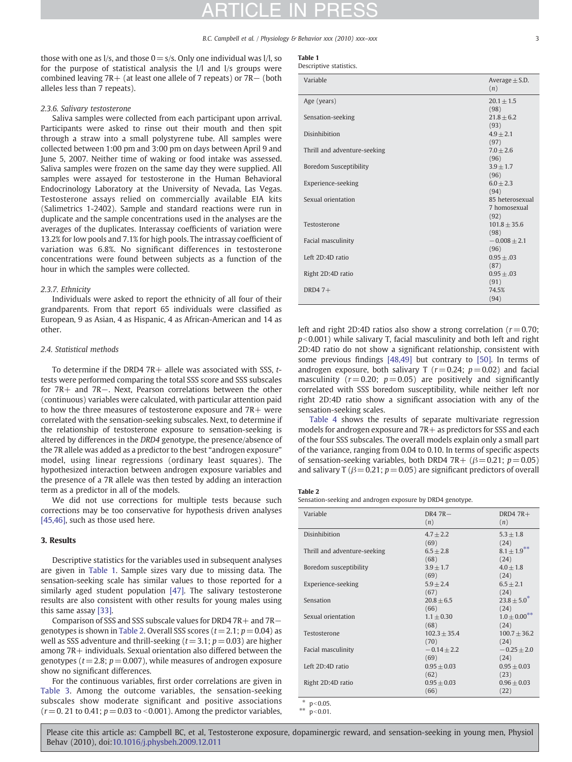#### B.C. Campbell et al. / Physiology & Behavior xxx (2010) xxx-xxx

those with one as  $1/s$ , and those  $0 = s/s$ . Only one individual was  $1/l$ , so for the purpose of statistical analysis the l/l and l/s groups were combined leaving 7R+ (at least one allele of 7 repeats) or 7R− (both alleles less than 7 repeats).

#### 2.3.6. Salivary testosterone

Saliva samples were collected from each participant upon arrival. Participants were asked to rinse out their mouth and then spit through a straw into a small polystyrene tube. All samples were collected between 1:00 pm and 3:00 pm on days between April 9 and June 5, 2007. Neither time of waking or food intake was assessed. Saliva samples were frozen on the same day they were supplied. All samples were assayed for testosterone in the Human Behavioral Endocrinology Laboratory at the University of Nevada, Las Vegas. Testosterone assays relied on commercially available EIA kits (Salimetrics 1-2402). Sample and standard reactions were run in duplicate and the sample concentrations used in the analyses are the averages of the duplicates. Interassay coefficients of variation were 13.2% for low pools and 7.1% for high pools. The intrassay coefficient of variation was 6.8%. No significant differences in testosterone concentrations were found between subjects as a function of the hour in which the samples were collected.

#### 2.3.7. Ethnicity

Individuals were asked to report the ethnicity of all four of their grandparents. From that report 65 individuals were classified as European, 9 as Asian, 4 as Hispanic, 4 as African-American and 14 as other.

#### 2.4. Statistical methods

To determine if the DRD4 7R+ allele was associated with SSS,  $t$ tests were performed comparing the total SSS score and SSS subscales for 7R+ and 7R−. Next, Pearson correlations between the other (continuous) variables were calculated, with particular attention paid to how the three measures of testosterone exposure and 7R+ were correlated with the sensation-seeking subscales. Next, to determine if the relationship of testosterone exposure to sensation-seeking is altered by differences in the DRD4 genotype, the presence/absence of the 7R allele was added as a predictor to the best "androgen exposure" model, using linear regressions (ordinary least squares). The hypothesized interaction between androgen exposure variables and the presence of a 7R allele was then tested by adding an interaction term as a predictor in all of the models.

We did not use corrections for multiple tests because such corrections may be too conservative for hypothesis driven analyses [\[45,46\]](#page-5-0), such as those used here.

#### 3. Results

Descriptive statistics for the variables used in subsequent analyses are given in Table 1. Sample sizes vary due to missing data. The sensation-seeking scale has similar values to those reported for a similarly aged student population [\[47\].](#page-5-0) The salivary testosterone results are also consistent with other results for young males using this same assay [\[33\]](#page-5-0).

Comparison of SSS and SSS subscale values for DRD4 7R+ and 7R− genotypes is shown in Table 2. Overall SSS scores  $(t= 2.1; p= 0.04)$  as well as SSS adventure and thrill-seeking ( $t = 3.1$ ;  $p = 0.03$ ) are higher among 7R+ individuals. Sexual orientation also differed between the genotypes ( $t = 2.8$ ;  $p = 0.007$ ), while measures of androgen exposure show no significant differences.

For the continuous variables, first order correlations are given in [Table](#page-3-0) 3. Among the outcome variables, the sensation-seeking subscales show moderate significant and positive associations  $(r= 0.21$  to 0.41;  $p = 0.03$  to <0.001). Among the predictor variables,

|  | ٠ |  |
|--|---|--|
|  |   |  |

| Descriptive statistics. |  |
|-------------------------|--|
|-------------------------|--|

| Variable                      | Average $\pm$ S.D. |
|-------------------------------|--------------------|
|                               | (n)                |
| Age (years)                   | $20.1 + 1.5$       |
|                               | (98)               |
| Sensation-seeking             | $21.8 + 6.2$       |
|                               | (93)               |
| <b>Disinhibition</b>          | $4.9 + 2.1$        |
|                               | (97)               |
| Thrill and adventure-seeking  | $7.0 \pm 2.6$      |
|                               | (96)               |
| <b>Boredom Susceptibility</b> | $3.9 + 1.7$        |
|                               | (96)               |
| Experience-seeking            | $6.0 + 2.3$        |
|                               | (94)               |
| Sexual orientation            | 85 heterosexual    |
|                               | 7 homosexual       |
|                               | (92)               |
| Testosterone                  | $101.8 + 35.6$     |
|                               | (98)               |
| Facial masculinity            | $-0.008 + 2.1$     |
|                               | (96)               |
| Left 2D:4D ratio              | $0.95 \pm .03$     |
|                               | (87)               |
| Right 2D:4D ratio             | $0.95 + 0.03$      |
|                               | (91)               |
| DRD4 $7+$                     | 74.5%              |
|                               | (94)               |

left and right 2D:4D ratios also show a strong correlation ( $r = 0.70$ ;  $p<0.001$ ) while salivary T, facial masculinity and both left and right 2D:4D ratio do not show a significant relationship, consistent with some previous findings [\[48,49\]](#page-5-0) but contrary to [\[50\]](#page-5-0). In terms of androgen exposure, both salivary T ( $r = 0.24$ ;  $p = 0.02$ ) and facial masculinity ( $r = 0.20$ ;  $p = 0.05$ ) are positively and significantly correlated with SSS boredom susceptibility, while neither left nor right 2D:4D ratio show a significant association with any of the sensation-seeking scales.

[Table 4](#page-3-0) shows the results of separate multivariate regression models for androgen exposure and  $7R$  + as predictors for SSS and each of the four SSS subscales. The overall models explain only a small part of the variance, ranging from 0.04 to 0.10. In terms of specific aspects of sensation-seeking variables, both DRD4 7R+  $(\beta = 0.21; p = 0.05)$ and salivary T ( $\beta$  = 0.21; p = 0.05) are significant predictors of overall

#### Table 2

Sensation-seeking and androgen exposure by DRD4 genotype.

| Variable                     | $DR4 7R -$<br>(n)      | DRD4 $7R+$<br>(n)         |
|------------------------------|------------------------|---------------------------|
| Disinhibition                | $4.7 + 2.2$<br>(69)    | $5.3 + 1.8$<br>(24)       |
| Thrill and adventure-seeking | $6.5 + 2.8$<br>(68)    | $8.1 \pm 1.9***$<br>(24)  |
| Boredom susceptibility       | $3.9 + 1.7$<br>(69)    | $4.0 + 1.8$<br>(24)       |
| Experience-seeking           | $5.9 + 2.4$<br>(67)    | $6.5 + 2.1$<br>(24)       |
| Sensation                    | $20.8 + 6.5$<br>(66)   | $23.8 + 5.0^*$<br>(24)    |
| Sexual orientation           | $1.1 + 0.30$<br>(68)   | $1.0 \pm 0.00***$<br>(24) |
| Testosterone                 | $102.3 + 35.4$<br>(70) | $100.7 \pm 36.2$<br>(24)  |
| Facial masculinity           | $-0.14 + 2.2$<br>(69)  | $-0.25 + 2.0$<br>(24)     |
| Left 2D:4D ratio             | $0.95 + 0.03$<br>(62)  | $0.95 + 0.03$<br>(23)     |
| Right 2D:4D ratio            | $0.95 + 0.03$<br>(66)  | $0.96 + 0.03$<br>(22)     |
| $* - \cdot 0.05$             |                        |                           |

\*  $p < 0.05$ .  $p < 0.01$ .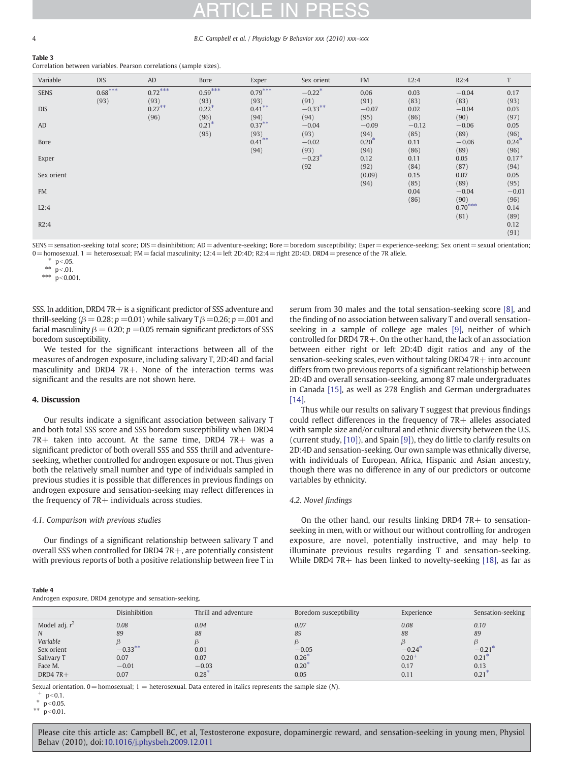#### 4 B.C. Campbell et al. / Physiology & Behavior xxx (2010) xxx–xxx

<span id="page-3-0"></span>Table 3

Correlation between variables. Pearson correlations (sample sizes).

| Variable    | <b>DIS</b>        | AD                | Bore              | Exper             | Sex orient                   | <b>FM</b>       | L2:4            | R2:4              | T               |
|-------------|-------------------|-------------------|-------------------|-------------------|------------------------------|-----------------|-----------------|-------------------|-----------------|
| <b>SENS</b> | $0.68***$<br>(93) | $0.72***$<br>(93) | $0.59***$<br>(93) | $0.79***$<br>(93) | $-0.22$ <sup>*</sup><br>(91) | 0.06<br>(91)    | 0.03<br>(83)    | $-0.04$<br>(83)   | 0.17<br>(93)    |
| <b>DIS</b>  |                   | $0.27***$         | $0.22*$           | $0.41$ **         | $-0.33**$                    | $-0.07$         | 0.02            | $-0.04$           | 0.03            |
| AD          |                   | (96)              | (96)<br>$0.21*$   | (94)<br>$0.37***$ | (94)<br>$-0.04$              | (95)<br>$-0.09$ | (86)<br>$-0.12$ | (90)<br>$-0.06$   | (97)<br>0.05    |
| Bore        |                   |                   | (95)              | (93)<br>$0.41***$ | (93)<br>$-0.02$              | (94)<br>$0.20*$ | (85)<br>0.11    | (89)<br>$-0.06$   | (96)<br>$0.24*$ |
| Exper       |                   |                   |                   | (94)              | (93)<br>$-0.23*$             | (94)<br>0.12    | (86)<br>0.11    | (89)<br>0.05      | (96)<br>$0.17+$ |
| Sex orient  |                   |                   |                   |                   | (92)                         | (92)<br>(0.09)  | (84)<br>0.15    | (87)<br>0.07      | (94)<br>0.05    |
| <b>FM</b>   |                   |                   |                   |                   |                              | (94)            | (85)<br>0.04    | (89)<br>$-0.04$   | (95)<br>$-0.01$ |
| L2:4        |                   |                   |                   |                   |                              |                 | (86)            | (90)<br>$0.70***$ | (96)<br>0.14    |
| R2:4        |                   |                   |                   |                   |                              |                 |                 | (81)              | (89)<br>0.12    |
|             |                   |                   |                   |                   |                              |                 |                 |                   | (91)            |

SENS = sensation-seeking total score; DIS = disinhibition; AD = adventure-seeking; Bore = boredom susceptibility; Exper = experience-seeking; Sex orient = sexual orientation; 0 = homosexual, 1 = heterosexual; FM = facial masculinity; L2:4 = left 2D:4D; R2:4 = right 2D:4D. DRD4 = presence of the 7R allele.

 $*$  p < .05.

\*\*  $p<.01$ .

\*\*\*  $p < 0.001$ .

SSS. In addition, DRD4 7R + is a significant predictor of SSS adventure and thrill-seeking ( $\beta$  = 0.28;  $p$  =0.01) while salivary T  $\beta$  =0.26;  $p$  =.001 and facial masculinity  $\beta = 0.20$ ;  $p = 0.05$  remain significant predictors of SSS boredom susceptibility.

We tested for the significant interactions between all of the measures of androgen exposure, including salivary T, 2D:4D and facial masculinity and DRD4 7R+. None of the interaction terms was significant and the results are not shown here.

#### 4. Discussion

Our results indicate a significant association between salivary T and both total SSS score and SSS boredom susceptibility when DRD4 7R+ taken into account. At the same time, DRD4 7R+ was a significant predictor of both overall SSS and SSS thrill and adventureseeking, whether controlled for androgen exposure or not. Thus given both the relatively small number and type of individuals sampled in previous studies it is possible that differences in previous findings on androgen exposure and sensation-seeking may reflect differences in the frequency of  $7R+$  individuals across studies.

#### 4.1. Comparison with previous studies

Our findings of a significant relationship between salivary T and overall SSS when controlled for DRD4 7R+, are potentially consistent with previous reports of both a positive relationship between free T in

serum from 30 males and the total sensation-seeking score [\[8\],](#page-4-0) and the finding of no association between salivary T and overall sensationseeking in a sample of college age males [\[9\],](#page-4-0) neither of which controlled for DRD4 7R+. On the other hand, the lack of an association between either right or left 2D:4D digit ratios and any of the sensation-seeking scales, even without taking DRD4 7R+ into account differs from two previous reports of a significant relationship between 2D:4D and overall sensation-seeking, among 87 male undergraduates in Canada [\[15\]](#page-4-0), as well as 278 English and German undergraduates [\[14\]](#page-4-0).

Thus while our results on salivary T suggest that previous findings could reflect differences in the frequency of  $7R+$  alleles associated with sample size and/or cultural and ethnic diversity between the U.S. (current study, [\[10\]\)](#page-4-0), and Spain [\[9\]\)](#page-4-0), they do little to clarify results on 2D:4D and sensation-seeking. Our own sample was ethnically diverse, with individuals of European, Africa, Hispanic and Asian ancestry, though there was no difference in any of our predictors or outcome variables by ethnicity.

#### 4.2. Novel findings

On the other hand, our results linking DRD4  $7R+$  to sensationseeking in men, with or without our without controlling for androgen exposure, are novel, potentially instructive, and may help to illuminate previous results regarding T and sensation-seeking. While DRD4 7R + has been linked to novelty-seeking  $[18]$ , as far as

| ---- |  |
|------|--|
|------|--|

|  |  | Androgen exposure, DRD4 genotype and sensation-seeking. |
|--|--|---------------------------------------------------------|
|  |  |                                                         |

|                  | Disinhibition | Thrill and adventure | Boredom susceptibility | Experience | Sensation-seeking |
|------------------|---------------|----------------------|------------------------|------------|-------------------|
| Model adj. $r^2$ | 0.08          | 0.04                 | 0.07                   | 0.08       | 0.10              |
|                  | 89            | 88                   | 89                     | 88         | 89                |
| Variable         |               |                      |                        |            |                   |
| Sex orient       | $-0.33***$    | 0.01                 | $-0.05$                | $-0.24$    | $-0.21$           |
| Salivary T       | 0.07          | 0.07                 | 0.26                   | $0.20^{+}$ | 0.21              |
| Face M.          | $-0.01$       | $-0.03$              | $0.20^{1}$             | 0.17       | 0.13              |
| DRD4 $7R+$       | 0.07          | $0.28^{*}$           | 0.05                   | 0.11       | 0.21              |

Sexual orientation.  $0=$ homosexual; 1 = heterosexual. Data entered in italics represents the sample size (N).

 $p < 0.1$ .

 $* \ \dot{p}$  < 0.05.

\*\*  $p < 0.01$ .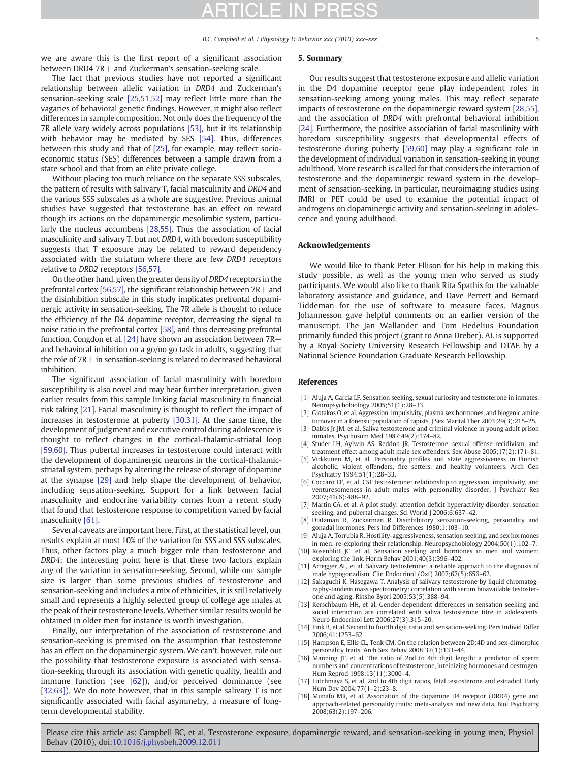<span id="page-4-0"></span>we are aware this is the first report of a significant association between DRD4 7R+ and Zuckerman's sensation-seeking scale.

#### The fact that previous studies have not reported a significant relationship between allelic variation in DRD4 and Zuckerman's sensation-seeking scale [\[25,51,52\]](#page-5-0) may reflect little more than the vagaries of behavioral genetic findings. However, it might also reflect differences in sample composition. Not only does the frequency of the 7R allele vary widely across populations [\[53\]](#page-5-0), but it its relationship with behavior may be mediated by SES [\[54\]](#page-5-0). Thus, differences between this study and that of [\[25\]](#page-5-0), for example, may reflect socioeconomic status (SES) differences between a sample drawn from a state school and that from an elite private college.

Without placing too much reliance on the separate SSS subscales, the pattern of results with salivary T, facial masculinity and DRD4 and the various SSS subscales as a whole are suggestive. Previous animal studies have suggested that testosterone has an effect on reward though its actions on the dopaminergic mesolimbic system, particularly the nucleus accumbens [\[28,55\].](#page-5-0) Thus the association of facial masculinity and salivary T, but not DRD4, with boredom susceptibility suggests that T exposure may be related to reward dependency associated with the striatum where there are few DRD4 receptors relative to DRD2 receptors [\[56,57\].](#page-5-0)

On the other hand, given the greater density of DRD4 receptors in the prefrontal cortex [\[56,57\]](#page-5-0), the significant relationship between 7R+ and the disinhibition subscale in this study implicates prefrontal dopaminergic activity in sensation-seeking. The 7R allele is thought to reduce the efficiency of the D4 dopamine receptor, decreasing the signal to noise ratio in the prefrontal cortex [\[58\]](#page-5-0), and thus decreasing prefrontal function. Congdon et al. [\[24\]](#page-5-0) have shown an association between 7R+ and behavioral inhibition on a go/no go task in adults, suggesting that the role of 7R+ in sensation-seeking is related to decreased behavioral inhibition.

The significant association of facial masculinity with boredom susceptibility is also novel and may bear further interpretation, given earlier results from this sample linking facial masculinity to financial risk taking [\[21\]](#page-5-0). Facial masculinity is thought to reflect the impact of increases in testosterone at puberty [\[30,31\].](#page-5-0) At the same time, the development of judgment and executive control during adolescence is thought to reflect changes in the cortical-thalamic-striatal loop [\[59,60\]](#page-5-0). Thus pubertal increases in testosterone could interact with the development of dopaminergic neurons in the cortical-thalamicstriatal system, perhaps by altering the release of storage of dopamine at the synapse [\[29\]](#page-5-0) and help shape the development of behavior, including sensation-seeking. Support for a link between facial masculinity and endocrine variability comes from a recent study that found that testosterone response to competition varied by facial masculinity [\[61\].](#page-5-0)

Several caveats are important here. First, at the statistical level, our results explain at most 10% of the variation for SSS and SSS subscales. Thus, other factors play a much bigger role than testosterone and DRD4; the interesting point here is that these two factors explain any of the variation in sensation-seeking. Second, while our sample size is larger than some previous studies of testosterone and sensation-seeking and includes a mix of ethnicities, it is still relatively small and represents a highly selected group of college age males at the peak of their testosterone levels. Whether similar results would be obtained in older men for instance is worth investigation.

Finally, our interpretation of the association of testosterone and sensation-seeking is premised on the assumption that testosterone has an effect on the dopaminergic system. We can't, however, rule out the possibility that testosterone exposure is associated with sensation-seeking through its association with genetic quality, health and immune function (see [\[62\]](#page-5-0)), and/or perceived dominance (see [\[32,63\]](#page-5-0)). We do note however, that in this sample salivary T is not significantly associated with facial asymmetry, a measure of longterm developmental stability.

#### 5. Summary

Our results suggest that testosterone exposure and allelic variation in the D4 dopamine receptor gene play independent roles in sensation-seeking among young males. This may reflect separate impacts of testosterone on the dopaminergic reward system [\[28,55\],](#page-5-0) and the association of DRD4 with prefrontal behavioral inhibition [\[24\]](#page-5-0). Furthermore, the positive association of facial masculinity with boredom susceptibility suggests that developmental effects of testosterone during puberty [\[59,60\]](#page-5-0) may play a significant role in the development of individual variation in sensation-seeking in young adulthood. More research is called for that considers the interaction of testosterone and the dopaminergic reward system in the development of sensation-seeking. In particular, neuroimaging studies using fMRI or PET could be used to examine the potential impact of androgens on dopaminergic activity and sensation-seeking in adolescence and young adulthood.

#### Acknowledgements

We would like to thank Peter Ellison for his help in making this study possible, as well as the young men who served as study participants. We would also like to thank Rita Spathis for the valuable laboratory assistance and guidance, and Dave Perrett and Bernard Tiddeman for the use of software to measure faces. Magnus Johannesson gave helpful comments on an earlier version of the manuscript. The Jan Wallander and Tom Hedelius Foundation primarily funded this project (grant to Anna Dreber). AL is supported by a Royal Society University Research Fellowship and DTAE by a National Science Foundation Graduate Research Fellowship.

#### References

- [1] Aluja A, Garcia LF. Sensation seeking, sexual curiosity and testosterone in inmates. Neuropsychobiology 2005;51(1):28–33.
- Giotakos O, et al. Aggression, impulsivity, plasma sex hormones, and biogenic amine turnover in a forensic population of rapists. J Sex Marital Ther 2003;29(3):215–25.
- [3] Dabbs Jr JM, et al. Saliva testosterone and criminal violence in young adult prison inmates. Psychosom Med 1987;49(2):174–82.
- Studer LH, Aylwin AS, Reddon JR. Testosterone, sexual offense recidivism, and treatment effect among adult male sex offenders. Sex Abuse 2005;17(2):171–81.
- [5] Virkkunen M, et al. Personality profiles and state aggressiveness in Finnish alcoholic, violent offenders, fire setters, and healthy volunteers. Arch Gen Psychiatry 1994;51(1):28–33.
- [6] Coccaro EF, et al. CSF testosterone: relationship to aggression, impulsivity, and venturesomeness in adult males with personality disorder. J Psychiatr Res 2007;41(6):488–92.
- [7] Martin CA, et al. A pilot study: attention deficit hyperactivity disorder, sensation seeking, and pubertal changes. Sci World J 2006;6:637–42.
- [8] Diatzman R, Zuckerman R, Disinhibitory sensation-seeking, personality and gonadal hormones. Pers Ind Differences 1980;1:103–10.
- [9] Aluja A, Torrubia R. Hostility-aggressiveness, sensation seeking, and sex hormones in men: re-exploring their relationship. Neuropsychobiology 2004;50(1):102–7.
- [10] Rosenblitt JC, et al. Sensation seeking and hormones in men and women: exploring the link. Horm Behav 2001;40(3):396–402.
- [11] Arregger AL, et al. Salivary testosterone: a reliable approach to the diagnosis of male hypogonadism. Clin Endocrinol (Oxf) 2007;67(5):656–62.
- [12] Sakaguchi K, Hasegawa T. Analysis of salivary testosterone by liquid chromatography-tandem mass spectrometry: correlation with serum bioavailable testosterone and aging. Rinsho Byori 2005;53(5):388–94.
- [13] Kerschbaum HH, et al. Gender-dependent differences in sensation seeking and social interaction are correlated with saliva testosterone titre in adolescents. Neuro Endocrinol Lett 2006;27(3):315–20.
- [14] Fink B, et al. Second to fourth digit ratio and sensation-seeking. Pers Individ Differ 2006;41:1253–62.
- [15] Hampson E, Ellis CL, Tenk CM. On the relation between 2D:4D and sex-dimorphic personality traits. Arch Sex Behav 2008;37(1):133–44.
- [16] Manning JT, et al. The ratio of 2nd to 4th digit length: a predictor of sperm numbers and concentrations of testosterone, luteinizing hormones and oestrogen. Hum Reprod 1998;13(11):3000–4.
- [17] Lutchmaya S, et al. 2nd to 4th digit ratios, fetal testosterone and estradiol. Early Hum Dev 2004;77(1–2):23–8.
- [18] Munafo MR, et al. Association of the dopamine D4 receptor (DRD4) gene and approach-related personality traits: meta-analysis and new data. Biol Psychiatry 2008;63(2):197–206.